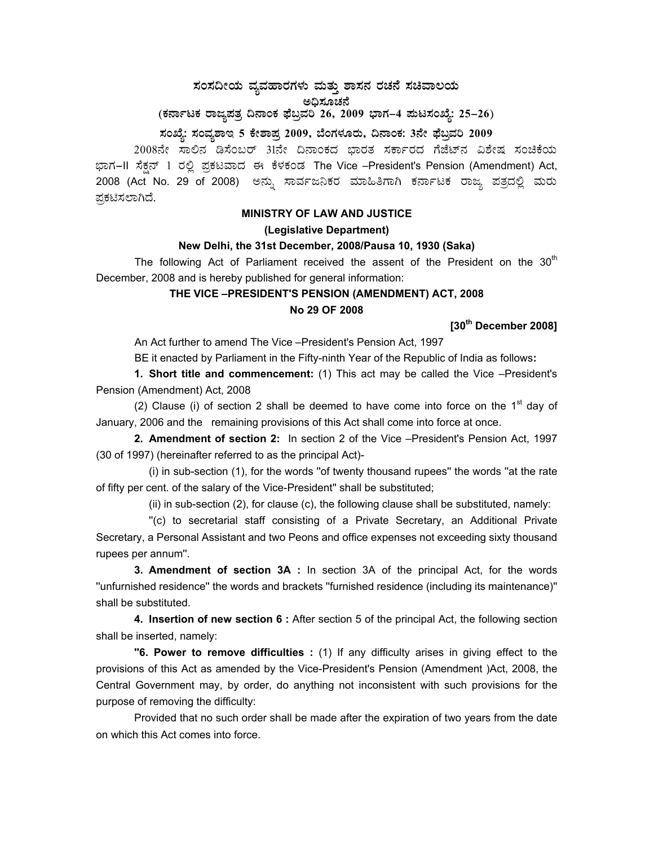# $\,$ ಸಂಸದೀಯ ವ್ಯವಹಾರಗಳು ಮತ್ತು ಶಾಸನ ರಚನೆ ಸಚಿವಾಲಯ ಅಧಿಸೂಚನೆ (ಕರ್ನಾಟಕ ರಾಜ್ಯಪತ್ರ ದಿನಾಂಕ ಫೆಬ್ರವರಿ 26, 2009 ಭಾಗ–4 **ಮಟಸಂಖ್ಯೆ: 25–26**)

### **¸ÀASÉå: ¸ÀAªÀå±ÁE 5 PÉñÁ¥Àæ 2009, ¨ÉAUÀ¼ÀÆgÀÄ, ¢£ÁAPÀ: 3£Éà ¥sɧæªÀj 2009**

2008ನೇ ಸಾಲಿನ ಡಿಸೆಂಬರ್ 31ನೇ ದಿನಾಂಕದ ಭಾರತ ಸರ್ಕಾರದ ಗೆಜೆಟ್ ವಿಶೇಷ ಸಂಚಿಕೆಯ ಭಾಗ–II ಸೆಕ್ಷನ್ 1 ರಲ್ಲಿ ಪ್ರಕಟವಾದ ಈ ಕೆಳಕಂಡ The Vice –President's Pension (Amendment) Act, 2008 (Act No. 29 of 2008) ಅನ್ನು ಸಾರ್ವಜನಿಕರ ಮಾಹಿತಿಗಾಗಿ ಕರ್ನಾಟಕ ರಾಜ್ಯ ಪತ್ರದಲ್ಲಿ ಮರು ಪ್ರಕಟಿಸಲಾಗಿದೆ.

### **MINISTRY OF LAW AND JUSTICE (Legislative Department)**

#### **New Delhi, the 31st December, 2008/Pausa 10, 1930 (Saka)**

The following Act of Parliament received the assent of the President on the  $30<sup>th</sup>$ December, 2008 and is hereby published for general information:

### **THE VICE –PRESIDENT'S PENSION (AMENDMENT) ACT, 2008 No 29 OF 2008**

### **[30th December 2008]**

An Act further to amend The Vice –President's Pension Act, 1997

BE it enacted by Parliament in the Fifty-ninth Year of the Republic of India as follows**:** 

 **1. Short title and commencement:** (1) This act may be called the Vice –President's Pension (Amendment) Act, 2008

(2) Clause (i) of section 2 shall be deemed to have come into force on the  $1<sup>st</sup>$  day of January, 2006 and the remaining provisions of this Act shall come into force at once.

**2. Amendment of section 2:** In section 2 of the Vice –President's Pension Act, 1997 (30 of 1997) (hereinafter referred to as the principal Act)-

 (i) in sub-section (1), for the words ''of twenty thousand rupees'' the words ''at the rate of fifty per cent. of the salary of the Vice-President'' shall be substituted;

(ii) in sub-section (2), for clause (c), the following clause shall be substituted, namely:

 ''(c) to secretarial staff consisting of a Private Secretary, an Additional Private Secretary, a Personal Assistant and two Peons and office expenses not exceeding sixty thousand rupees per annum''.

**3. Amendment of section 3A :** In section 3A of the principal Act, for the words ''unfurnished residence'' the words and brackets ''furnished residence (including its maintenance)'' shall be substituted.

 **4. Insertion of new section 6 :** After section 5 of the principal Act, the following section shall be inserted, namely:

**''6. Power to remove difficulties :** (1) If any difficulty arises in giving effect to the provisions of this Act as amended by the Vice-President's Pension (Amendment )Act, 2008, the Central Government may, by order, do anything not inconsistent with such provisions for the purpose of removing the difficulty:

 Provided that no such order shall be made after the expiration of two years from the date on which this Act comes into force.